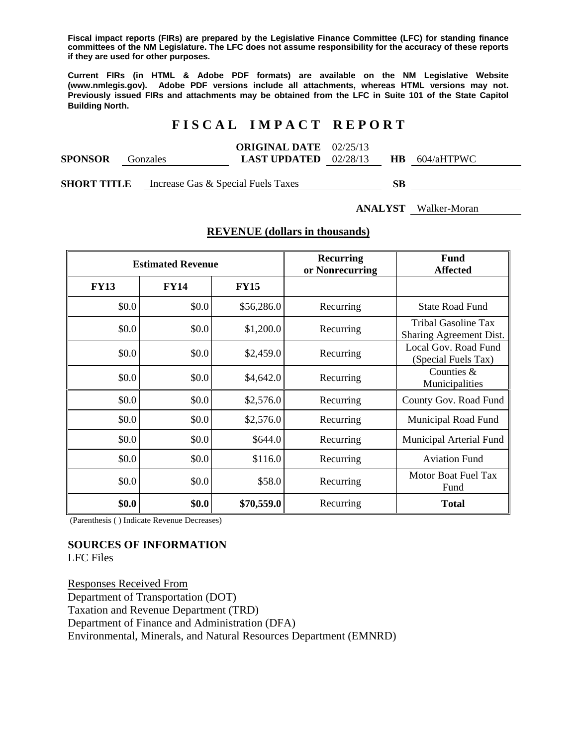**Fiscal impact reports (FIRs) are prepared by the Legislative Finance Committee (LFC) for standing finance committees of the NM Legislature. The LFC does not assume responsibility for the accuracy of these reports if they are used for other purposes.** 

**Current FIRs (in HTML & Adobe PDF formats) are available on the NM Legislative Website (www.nmlegis.gov). Adobe PDF versions include all attachments, whereas HTML versions may not. Previously issued FIRs and attachments may be obtained from the LFC in Suite 101 of the State Capitol Building North.**

# **F I S C A L I M P A C T R E P O R T**

|                |                 | <b>ORIGINAL DATE</b> 02/25/13  |  |               |  |
|----------------|-----------------|--------------------------------|--|---------------|--|
| <b>SPONSOR</b> | <b>Gonzales</b> | <b>LAST UPDATED</b> $02/28/13$ |  | HB 604/aHTPWC |  |
|                |                 |                                |  |               |  |

**SHORT TITLE** Increase Gas & Special Fuels Taxes **SB** 

**ANALYST** Walker-Moran

|             | <b>Estimated Revenue</b> |             | <b>Recurring</b><br>or Nonrecurring | <b>Fund</b><br><b>Affected</b>                 |
|-------------|--------------------------|-------------|-------------------------------------|------------------------------------------------|
| <b>FY13</b> | <b>FY14</b>              | <b>FY15</b> |                                     |                                                |
| \$0.0       | \$0.0                    | \$56,286.0  | Recurring                           | <b>State Road Fund</b>                         |
| \$0.0       | \$0.0                    | \$1,200.0   | Recurring                           | Tribal Gasoline Tax<br>Sharing Agreement Dist. |
| \$0.0       | \$0.0                    | \$2,459.0   | Recurring                           | Local Gov. Road Fund<br>(Special Fuels Tax)    |
| \$0.0       | \$0.0                    | \$4,642.0   | Recurring                           | Counties &<br>Municipalities                   |
| \$0.0       | \$0.0                    | \$2,576.0   | Recurring                           | County Gov. Road Fund                          |
| \$0.0       | \$0.0                    | \$2,576.0   | Recurring                           | Municipal Road Fund                            |
| \$0.0       | \$0.0                    | \$644.0     | Recurring                           | Municipal Arterial Fund                        |
| \$0.0\$     | \$0.0\$                  | \$116.0     | Recurring                           | <b>Aviation Fund</b>                           |
| \$0.0\$     | \$0.0\$                  | \$58.0      | Recurring                           | Motor Boat Fuel Tax<br>Fund                    |
| \$0.0       | \$0.0                    | \$70,559.0  | Recurring                           | <b>Total</b>                                   |

#### **REVENUE (dollars in thousands)**

(Parenthesis ( ) Indicate Revenue Decreases)

# **SOURCES OF INFORMATION**

LFC Files

Responses Received From Department of Transportation (DOT) Taxation and Revenue Department (TRD) Department of Finance and Administration (DFA) Environmental, Minerals, and Natural Resources Department (EMNRD)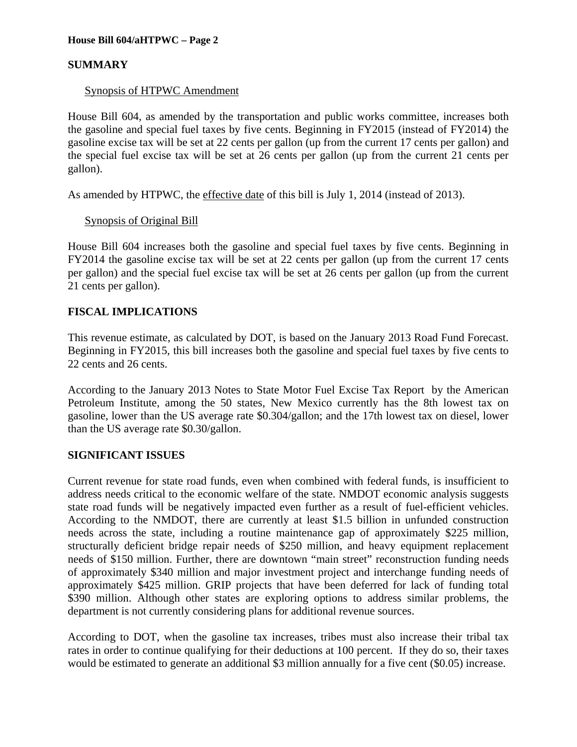# **SUMMARY**

### Synopsis of HTPWC Amendment

House Bill 604, as amended by the transportation and public works committee, increases both the gasoline and special fuel taxes by five cents. Beginning in FY2015 (instead of FY2014) the gasoline excise tax will be set at 22 cents per gallon (up from the current 17 cents per gallon) and the special fuel excise tax will be set at 26 cents per gallon (up from the current 21 cents per gallon).

As amended by HTPWC, the effective date of this bill is July 1, 2014 (instead of 2013).

### Synopsis of Original Bill

House Bill 604 increases both the gasoline and special fuel taxes by five cents. Beginning in FY2014 the gasoline excise tax will be set at 22 cents per gallon (up from the current 17 cents per gallon) and the special fuel excise tax will be set at 26 cents per gallon (up from the current 21 cents per gallon).

# **FISCAL IMPLICATIONS**

This revenue estimate, as calculated by DOT, is based on the January 2013 Road Fund Forecast. Beginning in FY2015, this bill increases both the gasoline and special fuel taxes by five cents to 22 cents and 26 cents.

According to the January 2013 Notes to State Motor Fuel Excise Tax Report by the American Petroleum Institute, among the 50 states, New Mexico currently has the 8th lowest tax on gasoline, lower than the US average rate \$0.304/gallon; and the 17th lowest tax on diesel, lower than the US average rate \$0.30/gallon.

#### **SIGNIFICANT ISSUES**

Current revenue for state road funds, even when combined with federal funds, is insufficient to address needs critical to the economic welfare of the state. NMDOT economic analysis suggests state road funds will be negatively impacted even further as a result of fuel-efficient vehicles. According to the NMDOT, there are currently at least \$1.5 billion in unfunded construction needs across the state, including a routine maintenance gap of approximately \$225 million, structurally deficient bridge repair needs of \$250 million, and heavy equipment replacement needs of \$150 million. Further, there are downtown "main street" reconstruction funding needs of approximately \$340 million and major investment project and interchange funding needs of approximately \$425 million. GRIP projects that have been deferred for lack of funding total \$390 million. Although other states are exploring options to address similar problems, the department is not currently considering plans for additional revenue sources.

According to DOT, when the gasoline tax increases, tribes must also increase their tribal tax rates in order to continue qualifying for their deductions at 100 percent. If they do so, their taxes would be estimated to generate an additional \$3 million annually for a five cent (\$0.05) increase.